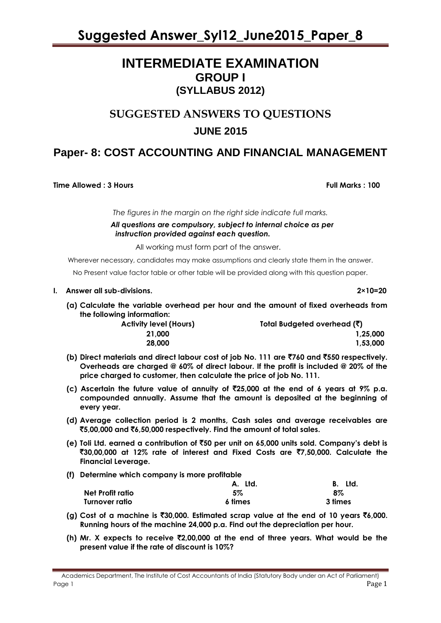# **INTERMEDIATE EXAMINATION GROUP I (SYLLABUS 2012)**

# **SUGGESTED ANSWERS TO QUESTIONS JUNE 2015**

# **Paper- 8: COST ACCOUNTING AND FINANCIAL MANAGEMENT**

**Time Allowed : 3 Hours Full Marks : 100** 

*The figures in the margin on the right side indicate full marks.*

 *All questions are compulsory, subject to internal choice as per instruction provided against each question.*

All working must form part of the answer.

Wherever necessary, candidates may make assumptions and clearly state them in the answer.

No Present value factor table or other table will be provided along with this question paper.

### **I. Answer all sub-divisions. 2×10=20**

**(a) Calculate the variable overhead per hour and the amount of fixed overheads from the following information:**

| <b>Activity level (Hours)</b> | Total Budgeted overhead $(\bar{\zeta})$ |  |
|-------------------------------|-----------------------------------------|--|
| 21.000                        | 1.25.000                                |  |
| 28,000                        | 1.53.000                                |  |

- **(b) Direct materials and direct labour cost of job No. 111 are** `**760 and** `**550 respectively. Overheads are charged @ 60% of direct labour. If the profit is included @ 20% of the price charged to customer, then calculate the price of job No. 111.**
- **(c) Ascertain the future value of annuity of** `**25,000 at the end of 6 years at 9% p.a. compounded annually. Assume that the amount is deposited at the beginning of every year.**
- **(d) Average collection period is 2 months, Cash sales and average receivables are**  `**5,00,000 and** `**6,50,000 respectively. Find the amount of total sales.**
- **(e) Toli Ltd. earned a contribution of** `**50 per unit on 65,000 units sold. Company's debt is**  `**30,00,000 at 12% rate of interest and Fixed Costs are** `**7,50,000. Calculate the Financial Leverage.**
- **(f) Determine which company is more profitable**

|                  | A. Ltd. | Ltd.<br>В. |
|------------------|---------|------------|
| Net Profit ratio | 5%      | 8%         |
| Turnover ratio   | 6 times | 3 times    |

- **(g) Cost of a machine is** `**30,000. Estimated scrap value at the end of 10 years** `**6,000. Running hours of the machine 24,000 p.a. Find out the depreciation per hour.**
- **(h) Mr. X expects to receive** `**2,00,000 at the end of three years. What would be the present value if the rate of discount is 10%?**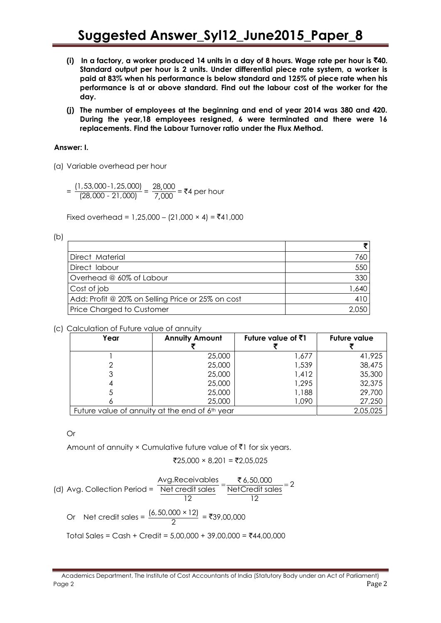- **(i) In a factory, a worker produced 14 units in a day of 8 hours. Wage rate per hour is** `**40. Standard output per hour is 2 units. Under differential piece rate system, a worker is paid at 83% when his performance is below standard and 125% of piece rate when his performance is at or above standard. Find out the labour cost of the worker for the day.**
- **(j) The number of employees at the beginning and end of year 2014 was 380 and 420. During the year,18 employees resigned, 6 were terminated and there were 16 replacements. Find the Labour Turnover ratio under the Flux Method.**

# **Answer: I.**

- (a) Variable overhead per hour
	- $=\frac{(1,53,000-1,25,000)}{(28,000,31,000)}$  $\frac{(7,53,000-1,25,000)}{(28,000-21,000)} = \frac{28}{7}$ , 28 000  $\frac{20,000}{7,000}$  = ₹4 per hour

Fixed overhead = 1,25,000 – (21,000 × 4) = ₹41,000

| e e                 |  |
|---------------------|--|
| i<br>I<br>۰.<br>. . |  |

| Direct Material                                   | 760   |
|---------------------------------------------------|-------|
| Direct labour                                     | 550   |
| Overhead @ 60% of Labour                          | 330   |
| Cost of job                                       | 1,640 |
| Add: Profit @ 20% on Selling Price or 25% on cost | 410   |
| <b>Price Charged to Customer</b>                  |       |

# (c) Calculation of Future value of annuity

| Year | <b>Annuity Amount</b>                          | Future value of $\bar{z}$ 1 | <b>Future value</b> |
|------|------------------------------------------------|-----------------------------|---------------------|
|      | 25,000                                         | 1,677                       | 41,925              |
|      | 25,000                                         | 1,539                       | 38,475              |
|      | 25,000                                         | 1,412                       | 35,300              |
|      | 25,000                                         | 1,295                       | 32,375              |
|      | 25,000                                         | 1,188                       | 29,700              |
|      | 25,000                                         | 1,090                       | 27,250              |
|      | Future value of annuity at the end of 6th year |                             | 2,05,025            |

# Or

Amount of annuity  $\times$  Cumulative future value of  $\bar{\tau}$ 1 for six years.

$$
\overline{2}25,000 \times 8,201 = \overline{2}2,05,025
$$

(d) Avg. Collection Period = 
$$
\frac{\text{Avg.Receiveds}}{\text{Net credit sales}} = \frac{\text{76,50,000}}{\text{Net Credit sales}} = 2
$$

Or Net credit sales = 
$$
\frac{(6,50,000 \times 12)}{2} = ₹39,00,000
$$

Total Sales = Cash + Credit =  $5,00,000 + 39,00,000 = ₹44,00,000$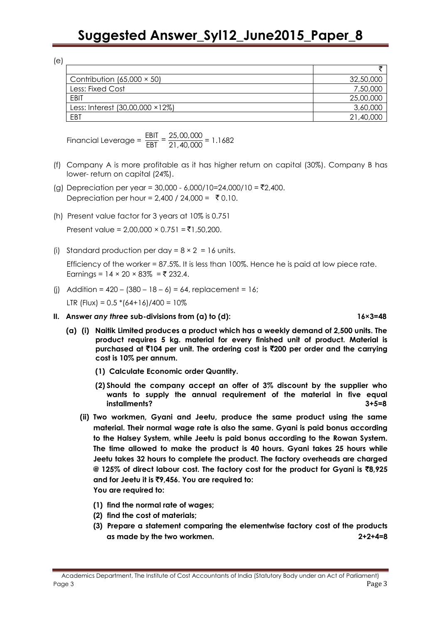| Contribution $(65,000 \times 50)$ | 32,50,000 |
|-----------------------------------|-----------|
| Less: Fixed Cost                  | 7,50,000  |
| EBIT                              | 25,00,000 |
| Less: Interest (30,00,000 × 12%)  | 3,60,000  |
| EBT                               | 21,40,000 |

Financial Leverage =  $\frac{\text{EBIT}}{\text{EBT}} = \frac{25,00,000}{21,40,000} = 1.1682$ 

- (f) Company A is more profitable as it has higher return on capital (30%). Company B has lower- return on capital (24%).
- (g) Depreciation per year =  $30,000 6,000/10 = 24,000/10 = \overline{52},400$ . Depreciation per hour = 2,400 / 24,000 =  $\bar{z}$  0.10.
- (h) Present value factor for 3 years at 10% is 0.751

Present value =  $2,00,000 \times 0.751 = ₹1,50,200$ .

(i) Standard production per day =  $8 \times 2 = 16$  units.

Efficiency of the worker = 87.5%. It is less than 100%. Hence he is paid at low piece rate. Earnings =  $14 \times 20 \times 83\% = ₹ 232.4$ .

(i) Addition =  $420 - (380 - 18 - 6) = 64$ , replacement = 16;

LTR (Flux) =  $0.5 * (64+16)/400 = 10\%$ 

- **II. Answer** *any three* **sub-divisions from (a) to (d): 16×3=48**
	- **(a) (i) Naitik Limited produces a product which has a weekly demand of 2,500 units. The product requires 5 kg. material for every finished unit of product. Material is purchased at** `**104 per unit. The ordering cost is** `**200 per order and the carrying cost is 10% per annum.**
		- **(1) Calculate Economic order Quantity.**
		- **(2) Should the company accept an offer of 3% discount by the supplier who wants to supply the annual requirement of the material in five equal installments? 3+5=8**
		- **(ii) Two workmen, Gyani and Jeetu, produce the same product using the same material. Their normal wage rate is also the same. Gyani is paid bonus according to the Halsey System, while Jeetu is paid bonus according to the Rowan System. The time allowed to make the product is 40 hours. Gyani takes 25 hours while Jeetu takes 32 hours to complete the product. The factory overheads are charged @ 125% of direct labour cost. The factory cost for the product for Gyani is** `**8,925 and for Jeetu it is** `**9,456. You are required to: You are required to:**
			- **(1) find the normal rate of wages;**
			- **(2) find the cost of materials;**
			- **(3) Prepare a statement comparing the elementwise factory cost of the products as made by the two workmen. 2+2+4=8**

Academics Department, The Institute of Cost Accountants of India (Statutory Body under an Act of Parliament) Page 3 Page 2 Page 2 Page 2 Page 2 Page 2 Page 2 Page 2 Page 2 Page 2 Page 2 Page 2 Page 2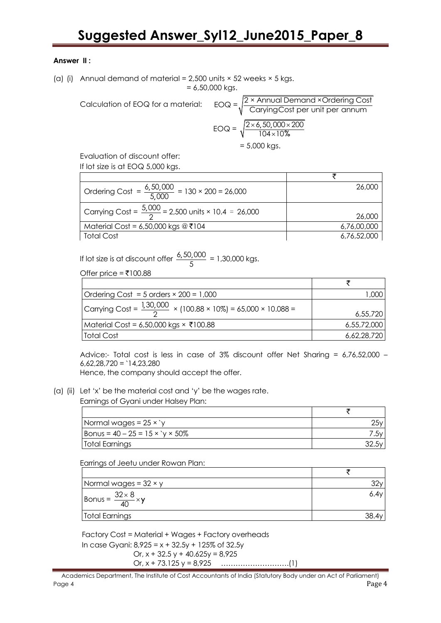# **Answer II :**

(a) (i) Annual demand of material =  $2.500$  units  $\times$  52 weeks  $\times$  5 kgs.  $= 6,50,000$  kgs.

Calculation of EOQ for a mat

= 6,50,000 kgs.  
\nferial: 
$$
EOQ = \sqrt{\frac{2 \times \text{Annual Demand} \times \text{Ordering Cost}}{\text{CaryingCost per unit per annum}}}
$$
  
\n $EOQ = \sqrt{\frac{2 \times 6,50,000 \times 200}{104 \times 10\%}} = 5,000 \text{ kgs.}$ 

Evaluation of discount offer: If lot size is at EOQ 5,000 kgs.

| Ordering Cost = $\frac{6,50,000}{5,000}$ = 130 × 200 = 26,000   | 26,000      |
|-----------------------------------------------------------------|-------------|
| Carrying Cost = $\frac{5,000}{2}$ = 2,500 units × 10.4 = 26,000 | 26,000      |
| Material Cost = 6,50,000 kgs $@7104$                            | 6,76,00,000 |
| <b>Total Cost</b>                                               | 6,76,52,000 |

If lot size is at discount offer  $\frac{6,50,000}{5}$  $\frac{5,000}{5}$  = 1,30,000 kgs.

Offer price =  $\overline{5}100.88$ 

| Ordering Cost = 5 orders $\times$ 200 = 1,000                             | 000.        |
|---------------------------------------------------------------------------|-------------|
| Carrying Cost = $\frac{1,30,000}{2}$ × (100.88 × 10%) = 65,000 × 10.088 = | 6,55,720    |
| Material Cost = 6,50,000 kgs × ₹100.88                                    | 6,55,72,000 |
| Total Cost                                                                | 6,62,28,720 |

Advice:- Total cost is less in case of 3% discount offer Net Sharing = 6,76,52,000 –  $6.62.28.720 = 14.23.280$ 

Hence, the company should accept the offer.

(a) (ii) Let 'x' be the material cost and 'y' be the wages rate.

Earnings of Gyani under Halsey Plan:

| Normal wages = $25 \times y$        |  |
|-------------------------------------|--|
| $ $ Bonus = 40 – 25 = 15 × `y × 50% |  |
| Total Earnings                      |  |

Earrings of Jeetu under Rowan Plan:

| Normal wages = $32 \times y$      |      |
|-----------------------------------|------|
| $\frac{32 \times 8}{40} \times y$ | 6.4V |
| Total Earnings                    |      |

Factory Cost = Material + Wages + Factory overheads In case Gyani:  $8,925 = x + 32.5y + 125\%$  of 32.5y Or,  $x + 32.5y + 40.625y = 8.925$ 

Or, x + 73.125 y = 8,925 ……………………….(1)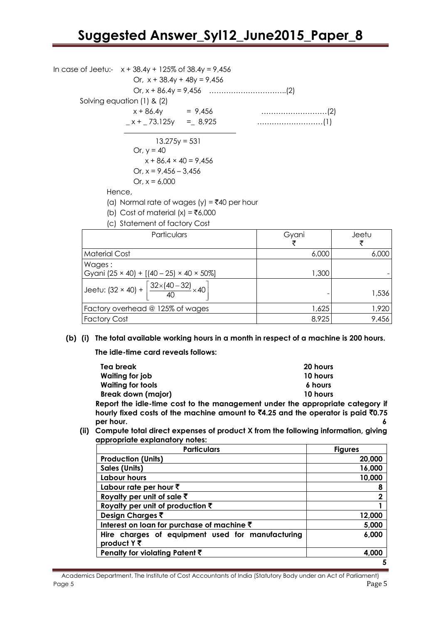In case of Jeetu:-  $x + 38.4y + 125\%$  of  $38.4y = 9.456$ Or,  $x + 38.4y + 48y = 9.456$ Or, x + 86.4y = 9,456 …………………………..(2) Solving equation (1) & (2) x + 86.4y = 9,456 ………………………(2) \_ x + \_ 73.125y =\_ 8,925 ………………………(1)  $13.275y = 531$ Or,  $y = 40$  $x + 86.4 \times 40 = 9,456$ Or,  $x = 9,456 - 3,456$ Or,  $x = 6,000$ Hence, (a) Normal rate of wages (y) =  $\overline{5}40$  per hour (b) Cost of material  $(x) = ₹6,000$ (c) Statement of factory Cost Particulars **Particulars Gyani** ₹ Jeetu ₹ Material Cost 6,000 6,000 6,000 6,000 6,000 6,000 6,000 6,000 6,000 6,000 6,000 6,000 6,000 6,000 6,000 6,000 6,000 6,000 6,000 6,000 6,000 6,000 6,000 6,000 6,000 6,000 6,000 6,000 6,000 6,000 6,000 6,000 6,000 6,000 6,00 Wages ·

| $\cdots$                                                                        |       |       |
|---------------------------------------------------------------------------------|-------|-------|
| Gyani (25 × 40) + [(40 – 25) × 40 × 50%]                                        | ,300  |       |
| Jeetu: $(32 \times 40) + \left[\frac{32 \times (40 - 32)}{40} \times 40\right]$ |       | 1,536 |
| Factory overhead @ 125% of wages                                                | 1,625 | 1,920 |
| <b>Factory Cost</b>                                                             | 8,925 | 9.456 |

**(b) (i) The total available working hours in a month in respect of a machine is 200 hours.**

**The idle-time card reveals follows:** 

| Tea break                 | 20 hours                                                                                         |
|---------------------------|--------------------------------------------------------------------------------------------------|
| Waiting for job           | 10 hours                                                                                         |
| <b>Waiting for tools</b>  | 6 hours                                                                                          |
| <b>Break down (major)</b> | 10 hours                                                                                         |
|                           | Report the idle-time cost to the management under the appropriate category if                    |
|                           | hourly fixed costs of the machine amount to $\bar{c}4.25$ and the operator is paid $\bar{c}0.75$ |
| per hour.                 |                                                                                                  |

**(ii) Compute total direct expenses of product X from the following information, giving appropriate explanatory notes:** 

| <b>Particulars</b>                                              | <b>Figures</b> |
|-----------------------------------------------------------------|----------------|
| <b>Production (Units)</b>                                       | 20,000         |
| <b>Sales (Units)</b>                                            | 16,000         |
| Labour hours                                                    | 10,000         |
| Labour rate per hour $\bar{z}$                                  | 8              |
| Royalty per unit of sale $\bar{z}$                              | 2              |
| Royalty per unit of production $\bar{\tau}$                     |                |
| Design Charges ₹                                                | 12,000         |
| Interest on loan for purchase of machine ₹                      | 5,000          |
| Hire charges of equipment used for manufacturing<br>product Y ₹ | 6,000          |
| Penalty for violating Patent $\bar{\tau}$                       | 4.000          |
|                                                                 |                |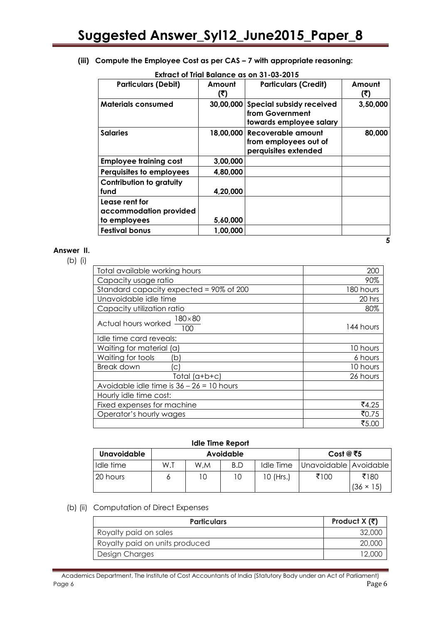### **(iii) Compute the Employee Cost as per CAS – 7 with appropriate reasoning:**

| <b>Particulars (Debit)</b>                               | Amount<br>(₹) | <b>Particulars (Credit)</b>                                                      | Amount<br>(ই) |
|----------------------------------------------------------|---------------|----------------------------------------------------------------------------------|---------------|
| <b>Materials consumed</b>                                |               | 30,00,000 Special subsidy received<br>from Government<br>towards employee salary | 3,50,000      |
| <b>Salaries</b>                                          |               | 18,00,000 Recoverable amount<br>from employees out of<br>perquisites extended    | 80,000        |
| <b>Employee training cost</b>                            | 3,00,000      |                                                                                  |               |
| Perquisites to employees                                 | 4,80,000      |                                                                                  |               |
| <b>Contribution to gratuity</b><br>fund                  | 4,20,000      |                                                                                  |               |
| Lease rent for<br>accommodation provided<br>to employees | 5,60,000      |                                                                                  |               |
| <b>Festival bonus</b>                                    | 1,00,000      |                                                                                  |               |

# **Extract of Trial Balance as on 31-03-2015**

#### **Answer II.**

(b) (i)

| Total available working hours                 | 200       |
|-----------------------------------------------|-----------|
| Capacity usage ratio                          | 90%       |
| Standard capacity expected = 90% of 200       | 180 hours |
| Unavoidable idle time                         | 20 hrs    |
| Capacity utilization ratio                    | 80%       |
| Actual hours worked $\frac{180\times80}{100}$ | 144 hours |
| Idle time card reveals:                       |           |
| Waiting for material (a)                      | 10 hours  |
| Waiting for tools<br>(b)                      | 6 hours   |
| <b>Break down</b><br>C                        | 10 hours  |
| Total $(a+b+c)$                               | 26 hours  |
| Avoidable idle time is $36 - 26 = 10$ hours   |           |
| Hourly idle time cost:                        |           |
| Fixed expenses for machine                    | ₹4.25     |
| Operator's hourly wages                       | ₹0.75     |
|                                               | ₹5.00     |

#### **Idle Time Report**

| Unavoidable | Avoidable |     |     | Cost @ ₹5 |                         |                          |
|-------------|-----------|-----|-----|-----------|-------------------------|--------------------------|
| Idle time   | W.T       | W.M | B.D | Idle Time | Unavoidable   Avoidable |                          |
| 20 hours    |           |     | 10  | 10 (Hrs.) | ₹100                    | ₹180<br>$(36 \times 15)$ |

# (b) (ii) Computation of Direct Expenses

| <b>Particulars</b>             | Product $X(\overline{z})$ |
|--------------------------------|---------------------------|
| Royalty paid on sales          | 32.000                    |
| Royalty paid on units produced | 20,000                    |
| Design Charges                 |                           |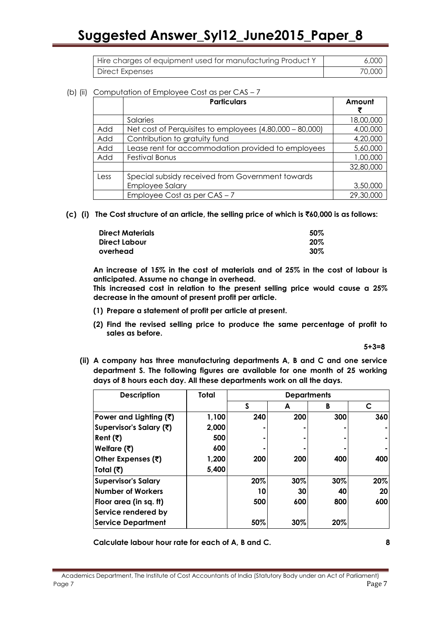| Hire charges of equipment used for manufacturing Product Y | 6,000  |
|------------------------------------------------------------|--------|
| Direct Expenses                                            | 70,000 |

#### (b) (ii) Computation of Employee Cost as per CAS - 7

|      | <b>Particulars</b>                                         | Amount    |
|------|------------------------------------------------------------|-----------|
|      | Salaries                                                   | 18,00,000 |
| Add  | Net cost of Perquisites to employees $(4,80,000 - 80,000)$ | 4,00,000  |
| Add  | Contribution to gratuity fund                              | 4,20,000  |
| Add  | Lease rent for accommodation provided to employees         | 5,60,000  |
| Add  | <b>Festival Bonus</b>                                      | 1,00,000  |
|      |                                                            | 32,80,000 |
| Less | Special subsidy received from Government towards           |           |
|      | <b>Employee Salary</b>                                     | 3,50,000  |
|      | Employee Cost as per $CAS - 7$                             | 29,30,000 |

**(c) (i) The Cost structure of an article, the selling price of which is** `**60,000 is as follows:** 

| <b>Direct Materials</b> | 50%    |
|-------------------------|--------|
| Direct Labour           | 20%    |
| overhead                | $30\%$ |

 **An increase of 15% in the cost of materials and of 25% in the cost of labour is anticipated. Assume no change in overhead.**

**This increased cost in relation to the present selling price would cause a 25% decrease in the amount of present profit per article.**

- **(1) Prepare a statement of profit per article at present.**
- **(2) Find the revised selling price to produce the same percentage of profit to sales as before.**

 **5+3=8**

**(ii) A company has three manufacturing departments A, B and C and one service department S. The following figures are available for one month of 25 working days of 8 hours each day. All these departments work on all the days.**

| <b>Description</b>         | Total | <b>Departments</b> |     |     |              |
|----------------------------|-------|--------------------|-----|-----|--------------|
|                            |       | S                  | A   | B   | $\mathsf{C}$ |
| Power and Lighting (₹)     | 1,100 | 240                | 200 | 300 | 360          |
| Supervisor's Salary (₹)    | 2,000 |                    |     |     |              |
| Rent (₹)                   | 500   |                    |     |     |              |
| Welfare $(3)$              | 600   |                    |     |     |              |
| Other Expenses (₹)         | 1,200 | 200                | 200 | 400 | 400          |
| Total (₹)                  | 5,400 |                    |     |     |              |
| <b>Supervisor's Salary</b> |       | 20%                | 30% | 30% | 20%          |
| <b>Number of Workers</b>   |       | 10                 | 30  | 40  | 20           |
| Floor area (in sq. ft)     |       | 500                | 600 | 800 | 600          |
| Service rendered by        |       |                    |     |     |              |
| <b>Service Department</b>  |       | 50%                | 30% | 20% |              |

**Calculate labour hour rate for each of A, B and C. 8**

Academics Department, The Institute of Cost Accountants of India (Statutory Body under an Act of Parliament) Page 7 Page 7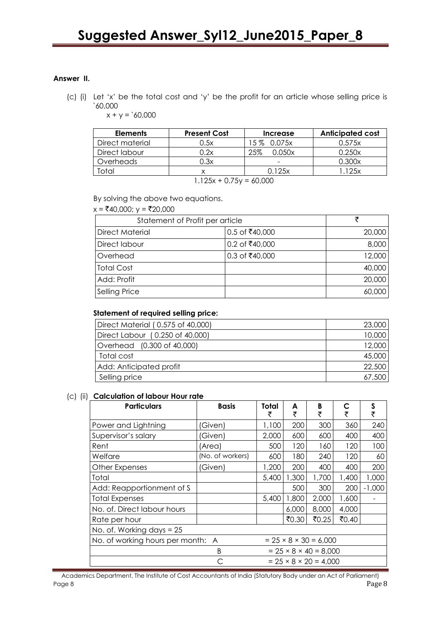# **Answer II.**

(c) (i) Let 'x' be the total cost and 'y' be the profit for an article whose selling price is `60,000

 $x + y = 60,000$ 

| <b>Elements</b> | <b>Present Cost</b> | Increase      | <b>Anticipated cost</b> |  |  |
|-----------------|---------------------|---------------|-------------------------|--|--|
| Direct material | 0.5x                | 15 % 0.075x   | 0.575x                  |  |  |
| Direct labour   | 0.2x                | 25%<br>0.050x | 0.250x                  |  |  |
| Overheads       | 0.3x                | -             | 0.300x                  |  |  |
| Total           |                     | 0.125x        | 1.125x                  |  |  |
| 1.1050750000    |                     |               |                         |  |  |

 $1.125x + 0.75y = 60,000$ 

By solving the above two equations.

#### $x = ₹40,000; y = ₹20,000$

| Statement of Profit per article |                  |        |
|---------------------------------|------------------|--------|
| <b>Direct Material</b>          | 0.5 of ₹40,000   | 20,000 |
| Direct labour                   | 0.2 of ₹40,000   | 8,000  |
| Overhead                        | $0.3$ of ₹40,000 | 12,000 |
| <b>Total Cost</b>               |                  | 40,000 |
| Add: Profit                     |                  | 20,000 |
| <b>Selling Price</b>            |                  | 60,000 |

# **Statement of required selling price:**

| Direct Material (0.575 of 40,000) | 23,000 |
|-----------------------------------|--------|
| Direct Labour (0.250 of 40,000)   | 10,000 |
| Overhead (0.300 of 40,000)        | 12,000 |
| Total cost                        | 45,000 |
| Add: Anticipated profit           | 22,500 |
| Selling price                     | 67,500 |

#### (c) (ii) **Calculation of labour Hour rate**

| <b>Particulars</b>                | <b>Basis</b>     | Total<br>₹ | A<br>₹ | B<br>₹                            | C<br>₹ | S<br>₹   |
|-----------------------------------|------------------|------------|--------|-----------------------------------|--------|----------|
| Power and Lightning               | 'Given)          | 1,100      | 200    | 300                               | 360    | 240      |
| Supervisor's salary               | (Given)          | 2,000      | 600    | 600                               | 400    | 400      |
| Rent                              | (Area)           | 500        | 120    | 160                               | 120    | 100      |
| Welfare                           | (No. of workers) | 600        | 180    | 240                               | 120    | 60       |
| Other Expenses                    | (Given)          | 1,200      | 200    | 400                               | 400    | 200      |
| Total                             |                  | 5,400      | 1,300  | 1,700                             | 1,400  | 1,000    |
| Add: Reapportionment of S         |                  |            | 500    | 300                               | 200    | $-1,000$ |
| <b>Total Expenses</b>             |                  | 5,400      | 1,800  | 2,000                             | 1,600  |          |
| No. of. Direct labour hours       |                  |            | 6,000  | 8,000                             | 4,000  |          |
| Rate per hour                     |                  |            | ₹0.30  | ₹0.25                             | ₹0.40  |          |
| No. of. Working days = 25         |                  |            |        |                                   |        |          |
| No. of working hours per month: A |                  |            |        | $= 25 \times 8 \times 30 = 6,000$ |        |          |
|                                   | B                |            |        | $= 25 \times 8 \times 40 = 8,000$ |        |          |
|                                   |                  |            |        | $= 25 \times 8 \times 20 = 4.000$ |        |          |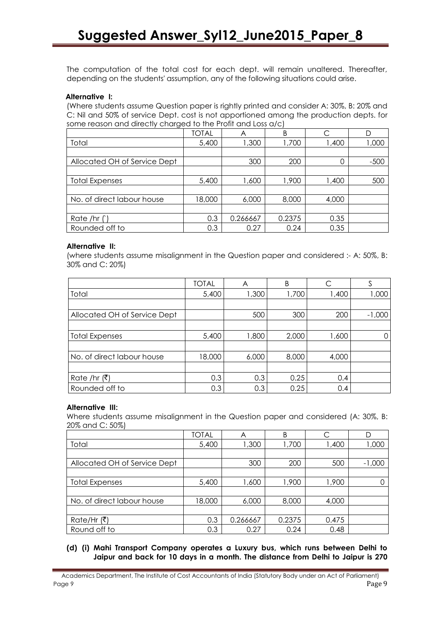The computation of the total cost for each dept. will remain unaltered. Thereafter, depending on the students' assumption, any of the following situations could arise.

# **Alternative I:**

(Where students assume Question paper is rightly printed and consider A: 30%, B: 20% and C: Nil and 50% of service Dept. cost is not apportioned among the production depts. for some reason and directly charged to the Profit and Loss a/c)

|                              | <b>TOTAL</b> |          | B      | $\subset$ | D      |
|------------------------------|--------------|----------|--------|-----------|--------|
| Total                        | 5,400        | 1,300    | 1,700  | 1,400     | 000, 1 |
|                              |              |          |        |           |        |
| Allocated OH of Service Dept |              | 300      | 200    | 0         | $-500$ |
|                              |              |          |        |           |        |
| <b>Total Expenses</b>        | 5,400        | 1,600    | 1,900  | 1,400     | 500    |
|                              |              |          |        |           |        |
| No. of direct labour house   | 18,000       | 6,000    | 8,000  | 4,000     |        |
|                              |              |          |        |           |        |
| Rate /hr $(')$               | 0.3          | 0.266667 | 0.2375 | 0.35      |        |
| Rounded off to               | 0.3          | 0.27     | 0.24   | 0.35      |        |

#### **Alternative II:**

(where students assume misalignment in the Question paper and considered :- A: 50%, B: 30% and C: 20%)

|                              | <b>TOTAL</b> | A     | B     | С     | S        |
|------------------------------|--------------|-------|-------|-------|----------|
| Total                        | 5,400        | 1,300 | 1,700 | 1,400 | 1,000    |
|                              |              |       |       |       |          |
| Allocated OH of Service Dept |              | 500   | 300   | 200   | $-1,000$ |
|                              |              |       |       |       |          |
| <b>Total Expenses</b>        | 5,400        | 1,800 | 2,000 | 1,600 | 0        |
|                              |              |       |       |       |          |
| No. of direct labour house   | 18,000       | 6,000 | 8,000 | 4,000 |          |
|                              |              |       |       |       |          |
| Rate /hr (₹)                 | 0.3          | 0.3   | 0.25  | 0.4   |          |
| Rounded off to               | 0.3          | 0.3   | 0.25  | 0.4   |          |

#### **Alternative III:**

Where students assume misalignment in the Question paper and considered (A: 30%, B: 20% and C: 50%)

|                              | <b>TOTAL</b> | A        | B      | C     | D        |
|------------------------------|--------------|----------|--------|-------|----------|
| Total                        | 5,400        | 1,300    | 1,700  | 1,400 | 000, ا   |
|                              |              |          |        |       |          |
| Allocated OH of Service Dept |              | 300      | 200    | 500   | $-1,000$ |
|                              |              |          |        |       |          |
| <b>Total Expenses</b>        | 5,400        | 1,600    | 1,900  | 1,900 |          |
|                              |              |          |        |       |          |
| No. of direct labour house   | 18,000       | 6,000    | 8,000  | 4,000 |          |
|                              |              |          |        |       |          |
| Rate/Hr (₹)                  | 0.3          | 0.266667 | 0.2375 | 0.475 |          |
| Round off to                 | 0.3          | 0.27     | 0.24   | 0.48  |          |

### **(d) (i) Mahi Transport Company operates a Luxury bus, which runs between Delhi to Jaipur and back for 10 days in a month. The distance from Delhi to Jaipur is 270**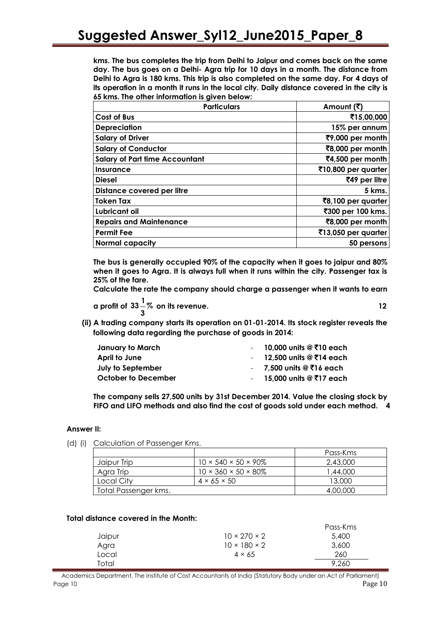**kms. The bus completes the trip from Delhi to Jaipur and comes back on the same day. The bus goes on a Delhi- Agra trip for 10 days in a month. The distance from Delhi to Agra is 180 kms. This trip is also completed on the same day. For 4 days of its operation in a month it runs in the local city. Daily distance covered in the city is 65 kms. The other information is given below:**

| <b>Particulars</b>                    | Amount (₹)                       |
|---------------------------------------|----------------------------------|
| Cost of Bus                           | ₹15,00,000                       |
| <b>Depreciation</b>                   | 15% per annum                    |
| <b>Salary of Driver</b>               | ₹9,000 per month                 |
| <b>Salary of Conductor</b>            | ₹8,000 per month                 |
| <b>Salary of Part time Accountant</b> | ₹4,500 per month                 |
| <b>Insurance</b>                      | $\bar{5}$ 10,800 per quarter     |
| <b>Diesel</b>                         | ₹49 per litre                    |
| Distance covered per litre            | 5 kms.                           |
| <b>Token Tax</b>                      | $\overline{8}$ 8,100 per quarter |
| Lubricant oil                         | ₹300 per 100 kms.                |
| <b>Repairs and Maintenance</b>        | ₹8,000 per month                 |
| <b>Permit Fee</b>                     | $\bar{5}$ 13,050 per quarter     |
| <b>Normal capacity</b>                | 50 persons                       |

**The bus is generally occupied 90% of the capacity when it goes to jaipur and 80% when it goes to Agra. It is always full when it runs within the city. Passenger tax is 25% of the fare.**

**Calculate the rate the company should charge a passenger when it wants to earn** 

 $\alpha$  profit of  $33\frac{1}{2}\%$ **3 on its revenue. 12**

**(ii) A trading company starts its operation on 01-01-2014. Its stock register reveals the following data regarding the purchase of goods in 2014:**

| - 10,000 units @ ₹10 each |
|---------------------------|
| - 12,500 units @ ₹14 each |
| - 7,500 units @ ₹16 each  |
| - 15,000 units @ ₹17 each |
|                           |

**The company sells 27,500 units by 31st December 2014. Value the closing stock by FIFO and LIFO methods and also find the cost of goods sold under each method. 4**

# **Answer II:**

(d) (i) Calculation of Passenger Kms.

|                      |                                       | Pass-Kms |
|----------------------|---------------------------------------|----------|
| Jaipur Trip          | $10 \times 540 \times 50 \times 90\%$ | 2,43,000 |
| Agra Trip            | $10 \times 360 \times 50 \times 80\%$ | 1,44,000 |
| Local Citv           | $4 \times 65 \times 50$               | 13,000   |
| Total Passenger kms. |                                       | 4,00,000 |

#### **Total distance covered in the Month:**

|        |                          | Pass-Kms |
|--------|--------------------------|----------|
| Jaipur | $10 \times 270 \times 2$ | 5,400    |
| Agra   | $10 \times 180 \times 2$ | 3,600    |
| Local  | $4 \times 65$            | 260      |
| Total  |                          | 9,260    |

Academics Department, The Institute of Cost Accountants of India (Statutory Body under an Act of Parliament) Page 10  $\hspace{1.5cm}$  Page 10  $\hspace{1.5cm}$  Page 10  $\hspace{1.5cm}$  Page 10  $\hspace{1.5cm}$  Page 10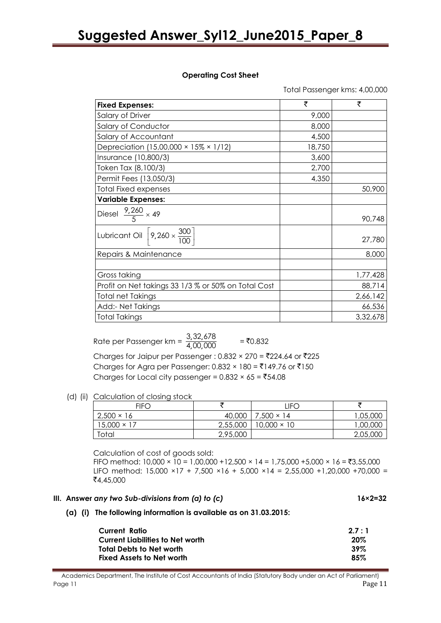#### **Operating Cost Sheet**

Total Passenger kms: 4,00,000

| <b>Fixed Expenses:</b>                                                | ₹      | ₹        |
|-----------------------------------------------------------------------|--------|----------|
| Salary of Driver                                                      | 9,000  |          |
| Salary of Conductor                                                   | 8,000  |          |
| Salary of Accountant                                                  | 4,500  |          |
| Depreciation (15,00,000 × 15% × 1/12)                                 | 18,750 |          |
| Insurance (10,800/3)                                                  | 3,600  |          |
| Token Tax (8,100/3)                                                   | 2,700  |          |
| Permit Fees (13,050/3)                                                | 4,350  |          |
| <b>Total Fixed expenses</b>                                           |        | 50,900   |
| <b>Variable Expenses:</b>                                             |        |          |
| Diesel $\frac{9,260}{5} \times 49$                                    |        | 90,748   |
| Lubricant Oil $\left\lceil 9,260 \times \frac{300}{100} \right\rceil$ |        | 27,780   |
| Repairs & Maintenance                                                 |        | 8,000    |
|                                                                       |        |          |
| Gross taking                                                          |        | 1,77,428 |
| Profit on Net takings 33 1/3 % or 50% on Total Cost                   |        | 88,714   |
| <b>Total net Takings</b>                                              |        | 2,66,142 |
| Add:- Net Takings                                                     |        | 66,536   |
| <b>Total Takings</b>                                                  |        | 3,32,678 |

Rate per Passenger km =  $\frac{3,32}{4,00}$ ,00, 3, 32, 678 4,00,000  $=$  ₹0.832 Charges for Jaipur per Passenger : 0.832 × 270 = ₹224.64 or ₹225 Charges for Agra per Passenger:  $0.832 \times 180 = 149.76$  or  $\overline{5}150$ Charges for Local city passenger =  $0.832 \times 65 =$  ₹54.08

(d) (ii) Calculation of closing stock

| <b>FIFC</b>        |          | LIFC               |          |
|--------------------|----------|--------------------|----------|
| $2,500 \times 16$  | 40,000   | $7,500 \times 14$  | 1,05,000 |
| $15,000 \times 17$ | 2,55,000 | $10,000 \times 10$ | 1,00,000 |
| Total              | 2,95,000 |                    | 2,05,000 |

Calculation of cost of goods sold:

FIFO method:  $10,000 \times 10 = 1,00,000 +12,500 \times 14 = 1,75,000 +5,000 \times 16 = ₹3,55,000$ LIFO method: 15,000 ×17 + 7,500 ×16 + 5,000 ×14 = 2,55,000 +1,20,000 +70,000 = `4,45,000

#### **III.** Answer any two Sub-divisions from (a) to (c) **16**×2=32

**(a) (i) The following information is available as on 31.03.2015:**

| Current Ratio                    | 2.7:1  |
|----------------------------------|--------|
| Current Liabilities to Net worth | 20%    |
| Total Debts to Net worth         | $39\%$ |
| <b>Fixed Assets to Net worth</b> | 85%    |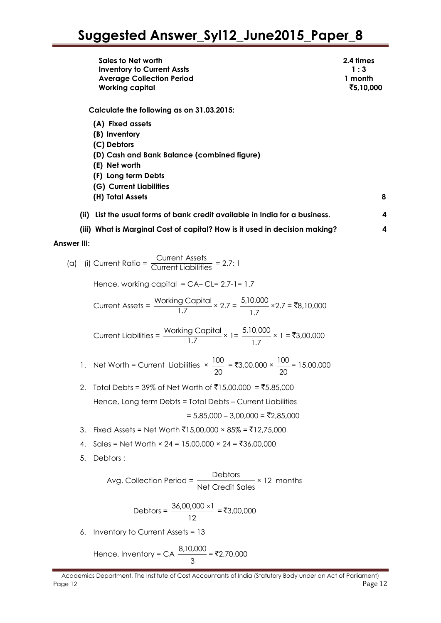|                    |    | Sales to Net worth<br><b>Inventory to Current Assts</b><br><b>Average Collection Period</b><br><b>Working capital</b>                                                                                                               | 2.4 times<br>1:3<br>1 month<br>₹5,10,000 |
|--------------------|----|-------------------------------------------------------------------------------------------------------------------------------------------------------------------------------------------------------------------------------------|------------------------------------------|
|                    |    | Calculate the following as on 31.03.2015:<br>(A) Fixed assets<br>(B) Inventory<br>(C) Debtors<br>(D) Cash and Bank Balance (combined figure)<br>(E) Net worth<br>(F) Long term Debts<br>(G) Current Liabilities<br>(H) Total Assets | 8                                        |
|                    |    | (ii) List the usual forms of bank credit available in India for a business.                                                                                                                                                         | 4                                        |
|                    |    | (iii) What is Marginal Cost of capital? How is it used in decision making?                                                                                                                                                          | 4                                        |
| <b>Answer III:</b> |    |                                                                                                                                                                                                                                     |                                          |
|                    |    | (a) (i) Current Ratio = $\frac{\text{Current Assets}}{\text{Current Limit}}$ = 2.7: 1                                                                                                                                               |                                          |
|                    |    | Hence, working capital = $CA - CL = 2.7 - 1 = 1.7$                                                                                                                                                                                  |                                          |
|                    |    | Current Assets = $\frac{\text{Working Capital}}{17} \times 2.7 = \frac{5,10,000}{1.7} \times 2.7 = ₹8,10,000$                                                                                                                       |                                          |
|                    |    | Current Liabilities = $\frac{\text{Working Capital}}{1.7}$ × 1 = ₹3,00,000                                                                                                                                                          |                                          |
|                    |    | 1. Net Worth = Current Liabilities $\times \frac{100}{20} = ₹3,00,000 \times \frac{100}{20} = 15,00,000$                                                                                                                            |                                          |
|                    |    | Total Debts = 39% of Net Worth of ₹15,00,000 = ₹5,85,000                                                                                                                                                                            |                                          |
|                    |    | Hence, Long term Debts = Total Debts - Current Liabilities                                                                                                                                                                          |                                          |
|                    |    | $= 5,85,000 - 3,00,000 = ₹2,85,000$                                                                                                                                                                                                 |                                          |
|                    | 3. | Fixed Assets = Net Worth ₹15,00,000 × 85% = ₹12,75,000                                                                                                                                                                              |                                          |
|                    | 4. | Sales = Net Worth × 24 = 15,00,000 × 24 = ₹36,00,000                                                                                                                                                                                |                                          |
|                    | 5. | Debtors:                                                                                                                                                                                                                            |                                          |
|                    |    | Avg. Collection Period = $\frac{\text{Debtors}}{\text{Net Credit Sales}} \times 12 \text{ months}$                                                                                                                                  |                                          |
|                    |    | Debtors = $\frac{36,00,000 \times 1}{12}$ = ₹3,00,000                                                                                                                                                                               |                                          |
|                    | 6. | Inventory to Current Assets = 13                                                                                                                                                                                                    |                                          |
|                    |    | Hence, Inventory = CA $\frac{8,10,000}{3}$ = ₹2,70,000                                                                                                                                                                              |                                          |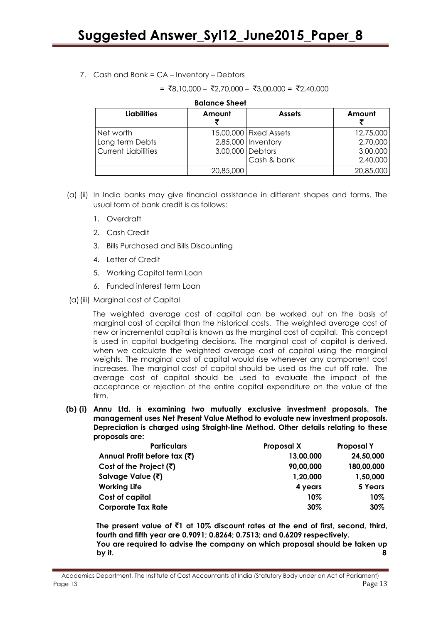# 7. Cash and Bank = CA – Inventory – Debtors

 $= ₹8,10,000 - ₹2,70,000 - ₹3,00,000 = ₹2,40.000$ 

| <b>Liabilities</b>         | Amount           | <b>Assets</b>          | Amount    |
|----------------------------|------------------|------------------------|-----------|
| Net worth                  |                  | 15,00,000 Fixed Assets | 12,75,000 |
| Long term Debts            |                  | 2,85,000   Inventory   | 2,70,000  |
| <b>Current Liabilities</b> | 3,00,000 Debtors |                        | 3,00,000  |
|                            |                  | Cash & bank            | 2,40,000  |
|                            | 20,85,000        |                        | 20,85,000 |

#### **Balance Sheet**

- (a) (ii) In India banks may give financial assistance in different shapes and forms. The usual form of bank credit is as follows:
	- 1. Overdraft
	- 2. Cash Credit
	- 3. Bills Purchased and Bills Discounting
	- 4. Letter of Credit
	- 5. Working Capital term Loan
	- 6. Funded interest term Loan
	- (a)(iii) Marginal cost of Capital

The weighted average cost of capital can be worked out on the basis of marginal cost of capital than the historical costs. The weighted average cost of new or incremental capital is known as the marginal cost of capital. This concept is used in capital budgeting decisions. The marginal cost of capital is derived, when we calculate the weighted average cost of capital using the marginal weights. The marginal cost of capital would rise whenever any component cost increases. The marginal cost of capital should be used as the cut off rate. The average cost of capital should be used to evaluate the impact of the acceptance or rejection of the entire capital expenditure on the value of the firm.

**(b) (i) Annu Ltd. is examining two mutually exclusive investment proposals. The management uses Net Present Value Method to evaluate new investment proposals. Depreciation is charged using Straight-line Method. Other details relating to these proposals are:**

| <b>Particulars</b>                      | Proposal X | <b>Proposal Y</b> |
|-----------------------------------------|------------|-------------------|
| Annual Profit before tax (₹)            | 13,00,000  | 24,50,000         |
| Cost of the Project $(\overline{\tau})$ | 90,00,000  | 180,00,000        |
| Salvage Value (₹)                       | 1,20,000   | 1,50,000          |
| <b>Working Life</b>                     | 4 years    | 5 Years           |
| Cost of capital                         | $10\%$     | 10%               |
| <b>Corporate Tax Rate</b>               | 30%        | 30%               |

**The present value of** `**1 at 10% discount rates at the end of first, second, third, fourth and fifth year are 0.9091; 0.8264; 0.7513; and 0.6209 respectively. You are required to advise the company on which proposal should be taken up by it. 8**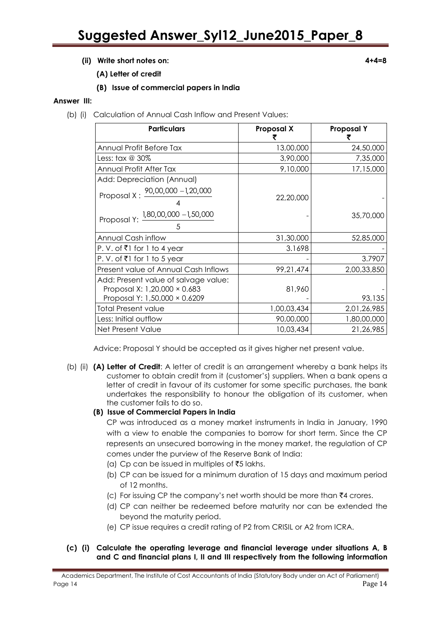# **(ii) Write short notes on: 4+4=8**

- **(A) Letter of credit**
- **(B) Issue of commercial papers in India**

#### **Answer III:**

(b) (i) Calculation of Annual Cash Inflow and Present Values:

| <b>Particulars</b>                                                                                    | Proposal X  | <b>Proposal Y</b> |
|-------------------------------------------------------------------------------------------------------|-------------|-------------------|
| Annual Profit Before Tax                                                                              | 13,00,000   | 24,50,000         |
| Less: tax @ 30%                                                                                       | 3,90,000    | 7,35,000          |
| Annual Profit After Tax                                                                               | 9,10,000    | 17,15,000         |
| Add: Depreciation (Annual)                                                                            |             |                   |
| Proposal X : $\frac{90,00,000 - 1,20,000}{2}$                                                         | 22,20,000   |                   |
| Proposal Y: 1,80,00,000 -1,50,000                                                                     |             | 35,70,000         |
| Annual Cash inflow                                                                                    | 31,30,000   | 52,85,000         |
| P. V. of ₹1 for 1 to 4 year                                                                           | 3.1698      |                   |
| P. V. of ₹1 for 1 to 5 year                                                                           |             | 3.7907            |
| Present value of Annual Cash Inflows                                                                  | 99,21,474   | 2,00,33,850       |
| Add: Present value of salvage value:<br>Proposal X: 1,20,000 × 0.683<br>Proposal Y: 1,50,000 × 0.6209 | 81,960      | 93,135            |
| <b>Total Present value</b>                                                                            | 1,00,03,434 | 2,01,26,985       |
| Less: Initial outflow                                                                                 | 90,00,000   | 1,80,00,000       |
| Net Present Value                                                                                     | 10,03,434   | 21,26,985         |

Advice: Proposal Y should be accepted as it gives higher net present value.

(b) (ii) **(A) Letter of Credit**: A letter of credit is an arrangement whereby a bank helps its customer to obtain credit from it (customer's) suppliers. When a bank opens a letter of credit in favour of its customer for some specific purchases, the bank undertakes the responsibility to honour the obligation of its customer, when the customer fails to do so.

# **(B) Issue of Commercial Papers in India**

CP was introduced as a money market instruments in India in January, 1990 with a view to enable the companies to borrow for short term. Since the CP represents an unsecured borrowing in the money market, the regulation of CP comes under the purview of the Reserve Bank of India:

- (a) Cp can be issued in multiples of  $\bar{z}5$  lakhs.
- (b) CP can be issued for a minimum duration of 15 days and maximum period of 12 months.
- (c) For issuing CP the company's net worth should be more than  $\bar{\tau}4$  crores.
- (d) CP can neither be redeemed before maturity nor can be extended the beyond the maturity period.
- (e) CP issue requires a credit rating of P2 from CRISIL or A2 from ICRA.
- **(c) (i) Calculate the operating leverage and financial leverage under situations A, B and C and financial plans I, II and III respectively from the following information**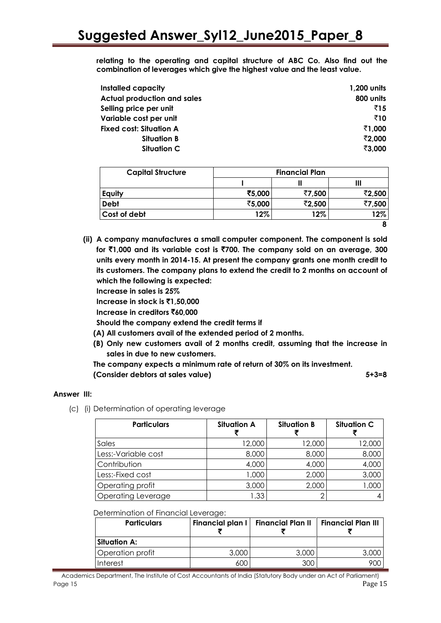**relating to the operating and capital structure of ABC Co. Also find out the combination of leverages which give the highest value and the least value.**

| Installed capacity                 | 1,200 units |
|------------------------------------|-------------|
| <b>Actual production and sales</b> | 800 units   |
| Selling price per unit             | ₹15         |
| Variable cost per unit             | ₹10         |
| <b>Fixed cost: Situation A</b>     | ₹1,000      |
| <b>Situation B</b>                 | ₹2,000      |
| <b>Situation C</b>                 | ₹3,000      |

| <b>Capital Structure</b> | <b>Financial Plan</b> |        |        |
|--------------------------|-----------------------|--------|--------|
|                          |                       |        | Ш      |
| Equity                   | ₹5,000                | ₹7,500 | ₹2,500 |
| <b>Debt</b>              | ₹5,000                | ₹2,500 | ₹7,500 |
| Cost of debt             | 12%                   | 12%    | 12%    |
|                          |                       |        |        |

**(ii) A company manufactures a small computer component. The component is sold for** `**1,000 and its variable cost is** `**700. The company sold on an average, 300 units every month in 2014-15. At present the company grants one month credit to its customers. The company plans to extend the credit to 2 months on account of which the following is expected:**

**Increase in sales is 25%**

**Increase in stock is** `**1,50,000**

**Increase in creditors** `**60,000**

**Should the company extend the credit terms if**

**(A) All customers avail of the extended period of 2 months.**

**(B) Only new customers avail of 2 months credit, assuming that the increase in sales in due to new customers.**

**The company expects a minimum rate of return of 30% on its investment. (Consider debtors at sales value) 5+3=8**

#### **Answer III:**

(c) (i) Determination of operating leverage

| <b>Particulars</b>        | <b>Situation A</b> | <b>Situation B</b> | <b>Situation C</b> |
|---------------------------|--------------------|--------------------|--------------------|
| Sales                     | 12,000             | 12,000             | 12,000             |
| Less:-Variable cost       | 8,000              | 8,000              | 8,000              |
| Contribution              | 4,000              | 4,000              | 4,000              |
| Less:-Fixed cost          | 1,000              | 2,000              | 3,000              |
| Operating profit          | 3,000              | 2,000              | 1,000              |
| <b>Operating Leverage</b> | 1.33               |                    |                    |

#### Determination of Financial Leverage:

| <b>Particulars</b>  | Financial plan I | Financial Plan II   Financial Plan III |       |
|---------------------|------------------|----------------------------------------|-------|
| <b>Situation A:</b> |                  |                                        |       |
| Operation profit    | 3,000            | 3,000                                  | 3.00C |
| <b>Interest</b>     | 600              | 300                                    |       |

Academics Department, The Institute of Cost Accountants of India (Statutory Body under an Act of Parliament) Page 15 Page 15 Page 15 Page 15 Page 15 Page 15 Page 16 Page 16 Page 16 Page 16 Page 16 Page 16 Page 16 Page 16